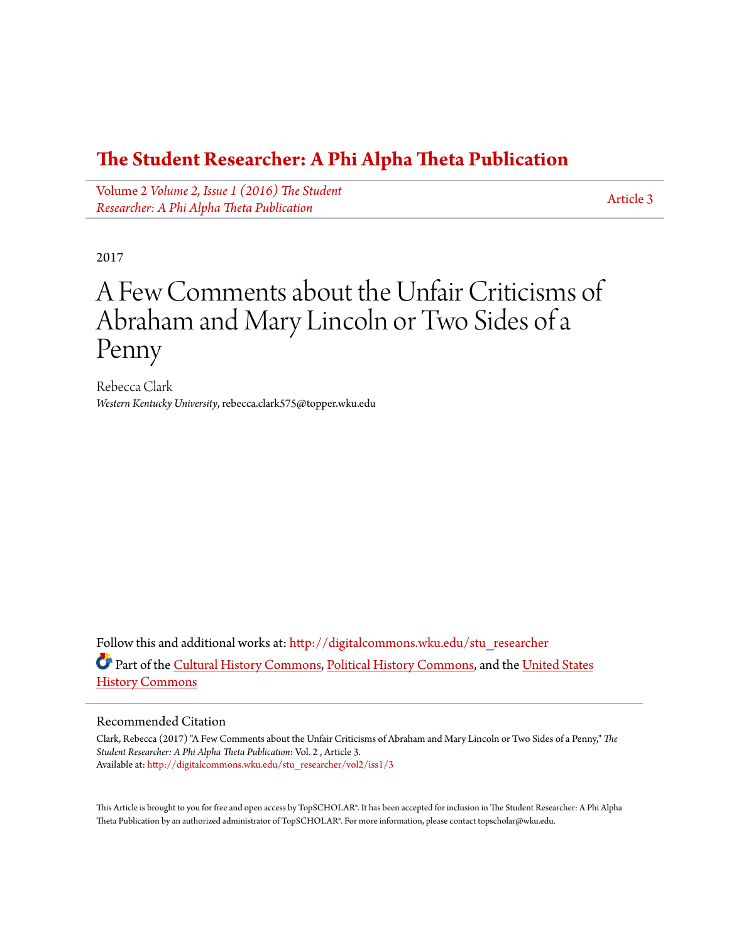### **[The Student Researcher: A Phi Alpha Theta Publication](http://digitalcommons.wku.edu/stu_researcher?utm_source=digitalcommons.wku.edu%2Fstu_researcher%2Fvol2%2Fiss1%2F3&utm_medium=PDF&utm_campaign=PDFCoverPages)**

Volume 2 *[Volume 2, Issue 1 \(2016\) The Student](http://digitalcommons.wku.edu/stu_researcher/vol2?utm_source=digitalcommons.wku.edu%2Fstu_researcher%2Fvol2%2Fiss1%2F3&utm_medium=PDF&utm_campaign=PDFCoverPages) [Researcher: A Phi Alpha Theta Publication](http://digitalcommons.wku.edu/stu_researcher/vol2?utm_source=digitalcommons.wku.edu%2Fstu_researcher%2Fvol2%2Fiss1%2F3&utm_medium=PDF&utm_campaign=PDFCoverPages)*

[Article 3](http://digitalcommons.wku.edu/stu_researcher/vol2/iss1/3?utm_source=digitalcommons.wku.edu%2Fstu_researcher%2Fvol2%2Fiss1%2F3&utm_medium=PDF&utm_campaign=PDFCoverPages)

2017

# A Few Comments about the Unfair Criticisms of Abraham and Mary Lincoln or Two Sides of a Penny

Rebecca Clark *Western Kentucky University*, rebecca.clark575@topper.wku.edu

Follow this and additional works at: [http://digitalcommons.wku.edu/stu\\_researcher](http://digitalcommons.wku.edu/stu_researcher?utm_source=digitalcommons.wku.edu%2Fstu_researcher%2Fvol2%2Fiss1%2F3&utm_medium=PDF&utm_campaign=PDFCoverPages) Part of the [Cultural History Commons,](http://network.bepress.com/hgg/discipline/496?utm_source=digitalcommons.wku.edu%2Fstu_researcher%2Fvol2%2Fiss1%2F3&utm_medium=PDF&utm_campaign=PDFCoverPages) [Political History Commons](http://network.bepress.com/hgg/discipline/505?utm_source=digitalcommons.wku.edu%2Fstu_researcher%2Fvol2%2Fiss1%2F3&utm_medium=PDF&utm_campaign=PDFCoverPages), and the [United States](http://network.bepress.com/hgg/discipline/495?utm_source=digitalcommons.wku.edu%2Fstu_researcher%2Fvol2%2Fiss1%2F3&utm_medium=PDF&utm_campaign=PDFCoverPages) [History Commons](http://network.bepress.com/hgg/discipline/495?utm_source=digitalcommons.wku.edu%2Fstu_researcher%2Fvol2%2Fiss1%2F3&utm_medium=PDF&utm_campaign=PDFCoverPages)

#### Recommended Citation

Clark, Rebecca (2017) "A Few Comments about the Unfair Criticisms of Abraham and Mary Lincoln or Two Sides of a Penny," *The Student Researcher: A Phi Alpha Theta Publication*: Vol. 2 , Article 3. Available at: [http://digitalcommons.wku.edu/stu\\_researcher/vol2/iss1/3](http://digitalcommons.wku.edu/stu_researcher/vol2/iss1/3?utm_source=digitalcommons.wku.edu%2Fstu_researcher%2Fvol2%2Fiss1%2F3&utm_medium=PDF&utm_campaign=PDFCoverPages)

This Article is brought to you for free and open access by TopSCHOLAR®. It has been accepted for inclusion in The Student Researcher: A Phi Alpha Theta Publication by an authorized administrator of TopSCHOLAR®. For more information, please contact topscholar@wku.edu.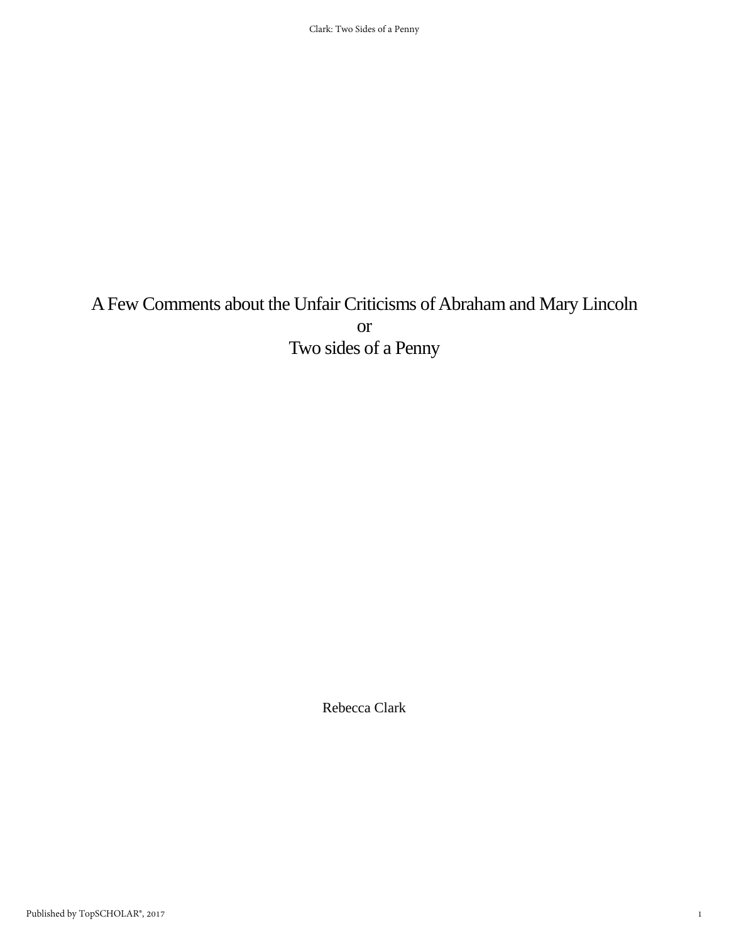## A Few Comments about the Unfair Criticisms of Abraham and Mary Lincoln or Two sides of a Penny

Rebecca Clark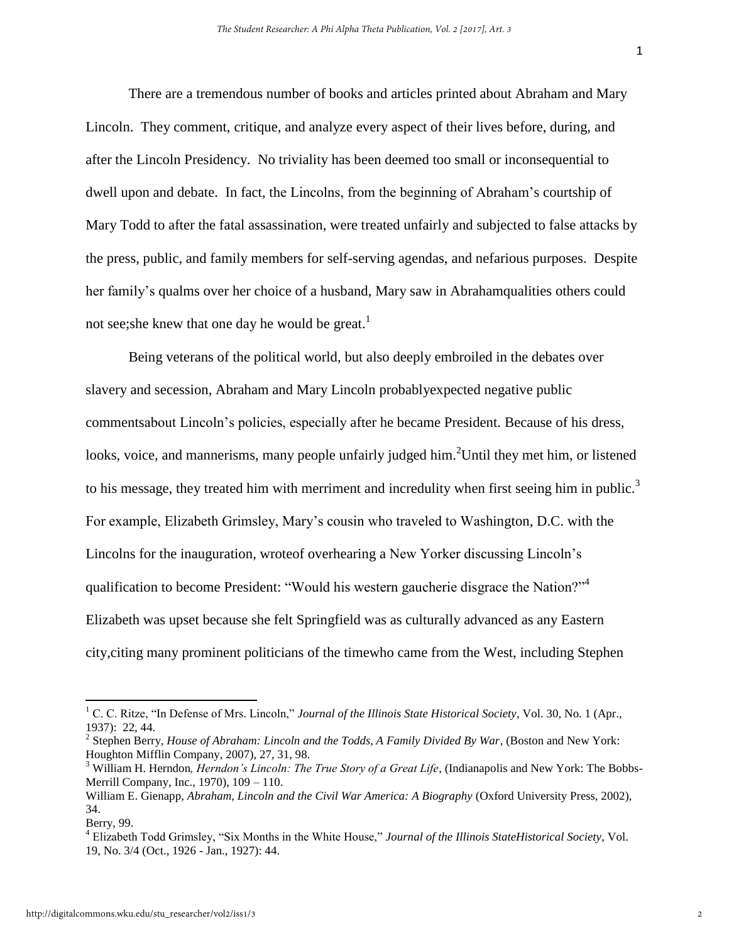There are a tremendous number of books and articles printed about Abraham and Mary Lincoln. They comment, critique, and analyze every aspect of their lives before, during, and after the Lincoln Presidency. No triviality has been deemed too small or inconsequential to dwell upon and debate. In fact, the Lincolns, from the beginning of Abraham's courtship of Mary Todd to after the fatal assassination, were treated unfairly and subjected to false attacks by the press, public, and family members for self-serving agendas, and nefarious purposes. Despite her family's qualms over her choice of a husband, Mary saw in Abrahamqualities others could not see; she knew that one day he would be great.<sup>1</sup>

Being veterans of the political world, but also deeply embroiled in the debates over slavery and secession, Abraham and Mary Lincoln probablyexpected negative public commentsabout Lincoln's policies, especially after he became President. Because of his dress, looks, voice, and mannerisms, many people unfairly judged him.<sup>2</sup>Until they met him, or listened to his message, they treated him with merriment and incredulity when first seeing him in public.<sup>3</sup> For example, Elizabeth Grimsley, Mary's cousin who traveled to Washington, D.C. with the Lincolns for the inauguration, wroteof overhearing a New Yorker discussing Lincoln's qualification to become President: "Would his western gaucherie disgrace the Nation?"<sup>4</sup> Elizabeth was upset because she felt Springfield was as culturally advanced as any Eastern city,citing many prominent politicians of the timewho came from the West, including Stephen

<sup>1</sup> C. C. Ritze, "In Defense of Mrs. Lincoln," *Journal of the Illinois State Historical Society*, Vol. 30, No. 1 (Apr., 1937): 22, 44.

<sup>2</sup> Stephen Berry, *House of Abraham: Lincoln and the Todds, A Family Divided By War*, (Boston and New York: Houghton Mifflin Company, 2007), 27, 31, 98.

<sup>&</sup>lt;sup>3</sup> William H. Herndon, *Herndon's Lincoln: The True Story of a Great Life*, (Indianapolis and New York: The Bobbs-Merrill Company, Inc., 1970), 109 – 110.

William E. Gienapp, *Abraham, Lincoln and the Civil War America: A Biography* (Oxford University Press, 2002), 34.

Berry, 99.

<sup>4</sup> Elizabeth Todd Grimsley, "Six Months in the White House," *Journal of the Illinois StateHistorical Society*, Vol. 19, No. 3/4 (Oct., 1926 - Jan., 1927): 44.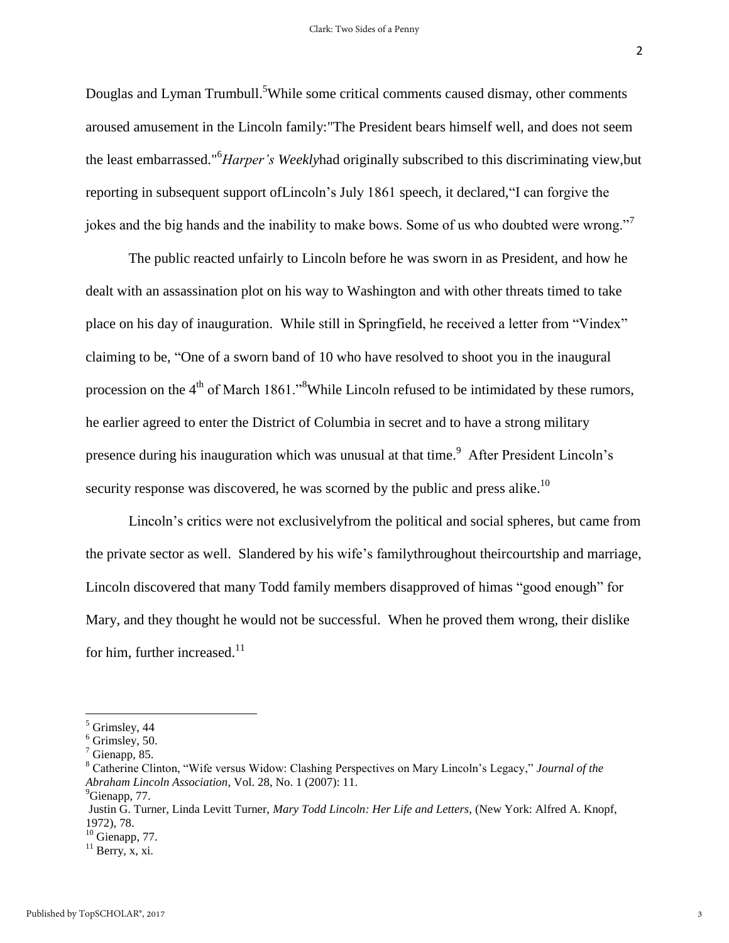2

Douglas and Lyman Trumbull.<sup>5</sup>While some critical comments caused dismay, other comments aroused amusement in the Lincoln family:"The President bears himself well, and does not seem the least embarrassed."<sup>6</sup>*Harper's Weekly*had originally subscribed to this discriminating view,but reporting in subsequent support ofLincoln's July 1861 speech, it declared,"I can forgive the jokes and the big hands and the inability to make bows. Some of us who doubted were wrong."<sup>7</sup>

The public reacted unfairly to Lincoln before he was sworn in as President, and how he dealt with an assassination plot on his way to Washington and with other threats timed to take place on his day of inauguration. While still in Springfield, he received a letter from "Vindex" claiming to be, "One of a sworn band of 10 who have resolved to shoot you in the inaugural procession on the 4<sup>th</sup> of March 1861."<sup>8</sup>While Lincoln refused to be intimidated by these rumors, he earlier agreed to enter the District of Columbia in secret and to have a strong military presence during his inauguration which was unusual at that time.<sup>9</sup> After President Lincoln's security response was discovered, he was scorned by the public and press alike.<sup>10</sup>

Lincoln's critics were not exclusivelyfrom the political and social spheres, but came from the private sector as well. Slandered by his wife's familythroughout theircourtship and marriage, Lincoln discovered that many Todd family members disapproved of himas "good enough" for Mary, and they thought he would not be successful. When he proved them wrong, their dislike for him, further increased. $11$ 

<sup>5</sup> Grimsley, 44

 $6$  Grimsley, 50.

 $<sup>7</sup>$  Gienapp, 85.</sup>

<sup>8</sup> Catherine Clinton, "Wife versus Widow: Clashing Perspectives on Mary Lincoln's Legacy," *Journal of the Abraham Lincoln Association,* Vol. 28, No. 1 (2007): 11.

<sup>&</sup>lt;sup>9</sup>Gienapp, 77.

Justin G. Turner, Linda Levitt Turner, *Mary Todd Lincoln: Her Life and Letters*, (New York: Alfred A. Knopf, 1972), 78.

 $10$  Gienapp, 77.

 $11$  Berry, x, xi.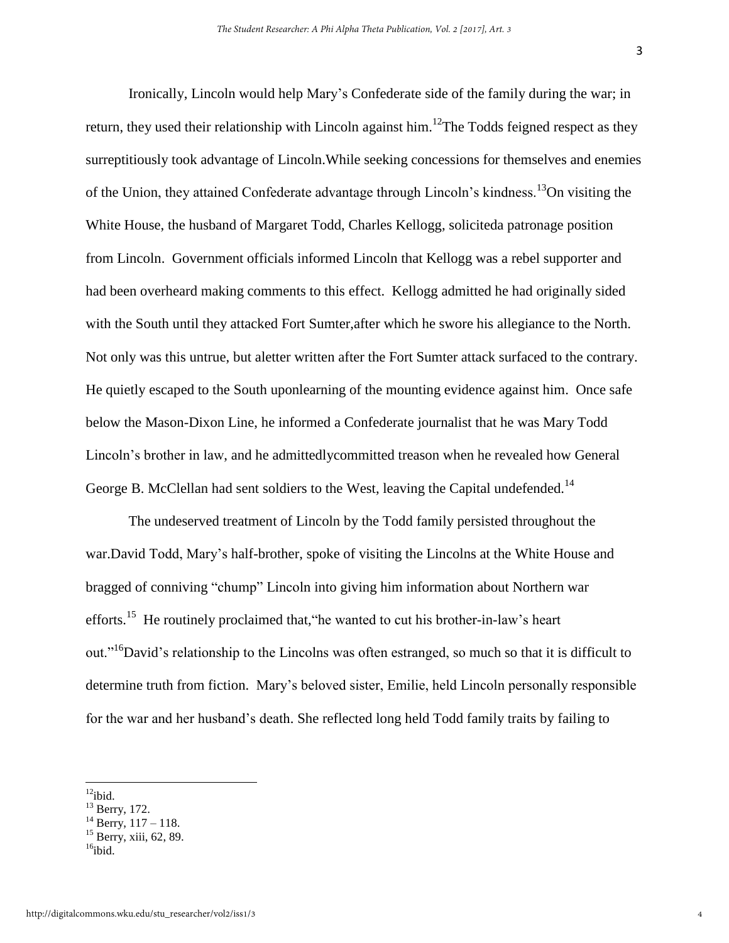Ironically, Lincoln would help Mary's Confederate side of the family during the war; in return, they used their relationship with Lincoln against him.<sup>12</sup>The Todds feigned respect as they surreptitiously took advantage of Lincoln.While seeking concessions for themselves and enemies of the Union, they attained Confederate advantage through Lincoln's kindness.<sup>13</sup>On visiting the White House, the husband of Margaret Todd, Charles Kellogg, soliciteda patronage position from Lincoln. Government officials informed Lincoln that Kellogg was a rebel supporter and had been overheard making comments to this effect. Kellogg admitted he had originally sided with the South until they attacked Fort Sumter,after which he swore his allegiance to the North. Not only was this untrue, but aletter written after the Fort Sumter attack surfaced to the contrary. He quietly escaped to the South uponlearning of the mounting evidence against him. Once safe below the Mason-Dixon Line, he informed a Confederate journalist that he was Mary Todd Lincoln's brother in law, and he admittedlycommitted treason when he revealed how General George B. McClellan had sent soldiers to the West, leaving the Capital undefended.<sup>14</sup>

The undeserved treatment of Lincoln by the Todd family persisted throughout the war.David Todd, Mary's half-brother, spoke of visiting the Lincolns at the White House and bragged of conniving "chump" Lincoln into giving him information about Northern war efforts.<sup>15</sup> He routinely proclaimed that, the wanted to cut his brother-in-law's heart out."<sup>16</sup>David's relationship to the Lincolns was often estranged, so much so that it is difficult to determine truth from fiction. Mary's beloved sister, Emilie, held Lincoln personally responsible for the war and her husband's death. She reflected long held Todd family traits by failing to

 $12$ ibid.

<sup>&</sup>lt;sup>13</sup> Berry, 172.

 $14$  Berry,  $117 - 118$ .

 $15$  Berry, xiii, 62, 89.

 $16$ ibid.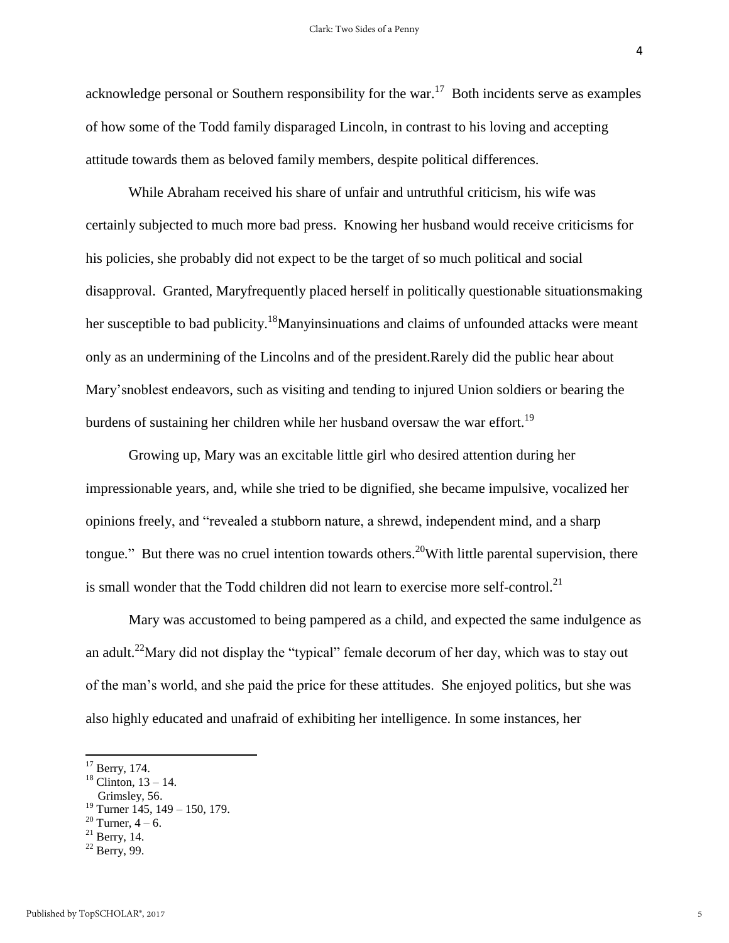4

acknowledge personal or Southern responsibility for the war.<sup>17</sup> Both incidents serve as examples of how some of the Todd family disparaged Lincoln, in contrast to his loving and accepting attitude towards them as beloved family members, despite political differences.

 While Abraham received his share of unfair and untruthful criticism, his wife was certainly subjected to much more bad press. Knowing her husband would receive criticisms for his policies, she probably did not expect to be the target of so much political and social disapproval. Granted, Maryfrequently placed herself in politically questionable situationsmaking her susceptible to bad publicity.<sup>18</sup>Manyinsinuations and claims of unfounded attacks were meant only as an undermining of the Lincolns and of the president.Rarely did the public hear about Mary'snoblest endeavors, such as visiting and tending to injured Union soldiers or bearing the burdens of sustaining her children while her husband oversaw the war effort.<sup>19</sup>

 Growing up, Mary was an excitable little girl who desired attention during her [impressionable](https://www.google.com/search?espv=2&biw=1366&bih=667&site=webhp&q=define+impressionable&sa=X&sqi=2&ved=0CCAQ_SowAGoVChMIxL_N49TeyAIVQjUmCh2k0Ayd) years, and, while she tried to be dignified, she became impulsive, vocalized her opinions freely, and "revealed a stubborn nature, a shrewd, independent mind, and a sharp tongue." But there was no cruel intention towards others.<sup>20</sup>With little parental supervision, there is small wonder that the Todd children did not learn to exercise more self-control.<sup>21</sup>

Mary was accustomed to being pampered as a child, and expected the same indulgence as an adult.<sup>22</sup>Mary did not display the "typical" female decorum of her day, which was to stay out of the man's world, and she paid the price for these attitudes. She enjoyed politics, but she was also highly educated and unafraid of exhibiting her intelligence. In some instances, her

 $17$  Berry, 174.

 $18$  Clinton,  $13 - 14$ .

Grimsley, 56.

<sup>&</sup>lt;sup>19</sup> Turner 145, 149 – 150, 179.

<sup>&</sup>lt;sup>20</sup> Turner,  $4 - 6$ .

 $21$  Berry, 14.

 $22$  Berry, 99.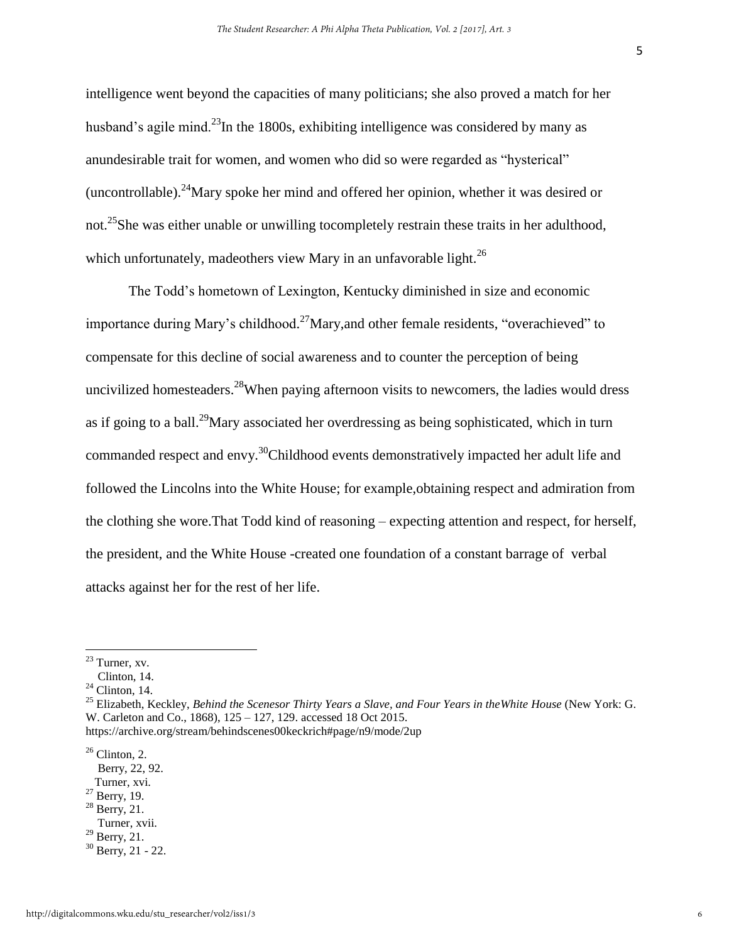intelligence went beyond the capacities of many politicians; she also proved a match for her husband's agile mind.<sup>23</sup>In the 1800s, exhibiting intelligence was considered by many as anundesirable trait for women, and women who did so were regarded as "hysterical" (uncontrollable).<sup>24</sup>Mary spoke her mind and offered her opinion, whether it was desired or not.<sup>25</sup>She was either unable or unwilling tocompletely restrain these traits in her adulthood, which unfortunately, madeothers view Mary in an unfavorable light.<sup>26</sup>

The Todd's hometown of Lexington, Kentucky diminished in size and economic importance during Mary's childhood.<sup>27</sup>Mary, and other female residents, "overachieved" to compensate for this decline of social awareness and to counter the perception of being uncivilized homesteaders.<sup>28</sup>When paying afternoon visits to newcomers, the ladies would dress as if going to a ball.<sup>29</sup>Mary associated her overdressing as being sophisticated, which in turn commanded respect and envy.<sup>30</sup>Childhood events demonstratively impacted her adult life and followed the Lincolns into the White House; for example,obtaining respect and admiration from the clothing she wore.That Todd kind of reasoning – expecting attention and respect, for herself, the president, and the White House -created one foundation of a constant barrage of verbal attacks against her for the rest of her life.

- $27$  Berry, 19.
- $28$  Berry, 21.
- Turner, xvii.  $29$  Berry, 21.
- 

 $^{23}$  Turner, xv.

Clinton, 14.

 $24$  Clinton, 14.

<sup>25</sup> Elizabeth, Keckley, *Behind the Scenesor Thirty Years a Slave, and Four Years in theWhite House* (New York: G. W. Carleton and Co., 1868), 125 – 127, 129. accessed 18 Oct 2015. https://archive.org/stream/behindscenes00keckrich#page/n9/mode/2up

 $26$  Clinton, 2.

Berry, 22, 92.

Turner, xvi.

 $30$  Berry, 21 - 22.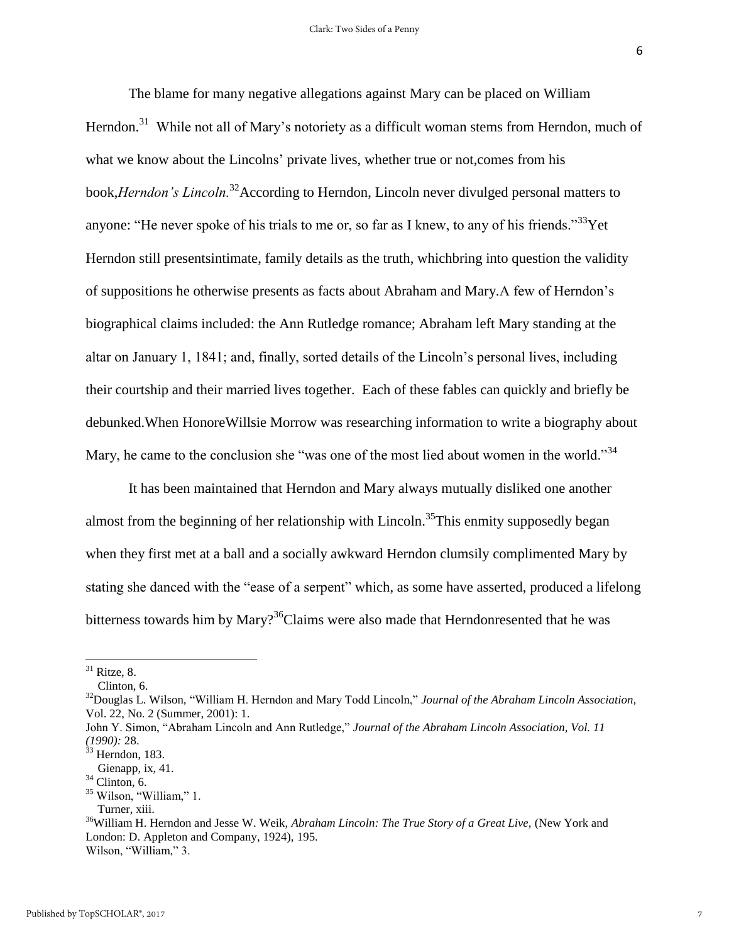The blame for many negative allegations against Mary can be placed on William Herndon.<sup>31</sup> While not all of Mary's notoriety as a difficult woman stems from Herndon, much of what we know about the Lincolns' private lives, whether true or not, comes from his book,*Herndon's Lincoln.*<sup>32</sup>According to Herndon, Lincoln never divulged personal matters to anyone: "He never spoke of his trials to me or, so far as I knew, to any of his friends."<sup>33</sup>Yet Herndon still presentsintimate, family details as the truth, whichbring into question the validity of suppositions he otherwise presents as facts about Abraham and Mary.A few of Herndon's biographical claims included: the Ann Rutledge romance; Abraham left Mary standing at the altar on January 1, 1841; and, finally, sorted details of the Lincoln's personal lives, including their courtship and their married lives together. Each of these fables can quickly and briefly be debunked.When HonoreWillsie Morrow was researching information to write a biography about Mary, he came to the conclusion she "was one of the most lied about women in the world."<sup>34</sup>

It has been maintained that Herndon and Mary always mutually disliked one another almost from the beginning of her relationship with Lincoln.<sup>35</sup>This enmity supposedly began when they first met at a ball and a socially awkward Herndon clumsily complimented Mary by stating she danced with the "ease of a serpent" which, as some have asserted, produced a lifelong bitterness towards him by Mary?<sup>36</sup>Claims were also made that Herndonresented that he was

 $31$  Ritze, 8.

Clinton, 6.

<sup>32</sup>Douglas L. Wilson, "William H. Herndon and Mary Todd Lincoln," *Journal of the Abraham Lincoln Association,*  Vol. 22, No. 2 (Summer, 2001): 1.

John Y. Simon, "Abraham Lincoln and Ann Rutledge," *Journal of the Abraham Lincoln Association, Vol. 11 (1990):* 28.

 $33$  Herndon, 183.

Gienapp, ix, 41.

 $34$  Clinton, 6.

<sup>&</sup>lt;sup>35</sup> Wilson, "William," 1.

Turner, xiii.

<sup>&</sup>lt;sup>36</sup>William H. Herndon and Jesse W. Weik, *Abraham Lincoln: The True Story of a Great Live*, (New York and London: D. Appleton and Company, 1924), 195. Wilson, "William," 3.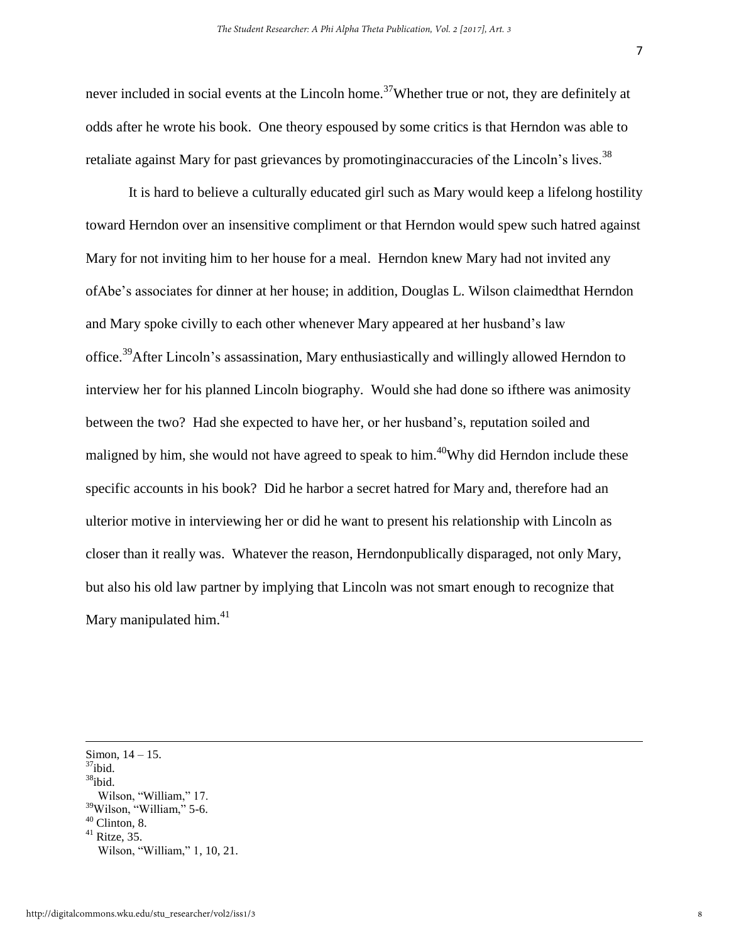never included in social events at the Lincoln home.<sup>37</sup>Whether true or not, they are definitely at odds after he wrote his book. One theory espoused by some critics is that Herndon was able to retaliate against Mary for past grievances by promotinginaccuracies of the Lincoln's lives.<sup>38</sup>

It is hard to believe a culturally educated girl such as Mary would keep a lifelong hostility toward Herndon over an insensitive compliment or that Herndon would spew such hatred against Mary for not inviting him to her house for a meal. Herndon knew Mary had not invited any ofAbe's associates for dinner at her house; in addition, Douglas L. Wilson claimedthat Herndon and Mary spoke civilly to each other whenever Mary appeared at her husband's law office.<sup>39</sup>After Lincoln's assassination, Mary enthusiastically and willingly allowed Herndon to interview her for his planned Lincoln biography. Would she had done so ifthere was animosity between the two? Had she expected to have her, or her husband's, reputation soiled and maligned by him, she would not have agreed to speak to him.<sup>40</sup>Why did Herndon include these specific accounts in his book? Did he harbor a secret hatred for Mary and, therefore had an ulterior motive in interviewing her or did he want to present his relationship with Lincoln as closer than it really was. Whatever the reason, Herndonpublically disparaged, not only Mary, but also his old law partner by implying that Lincoln was not smart enough to recognize that Mary manipulated him. $41$ 

 $\overline{a}$ 

8

7

Simon, 14 – 15.

 $37$ ibid.

 $38$ ibid.

Wilson, "William," 17.

 $39$ Wilson, "William," 5-6.

 $40$  Clinton, 8.

 $41$  Ritze, 35.

Wilson, "William," 1, 10, 21.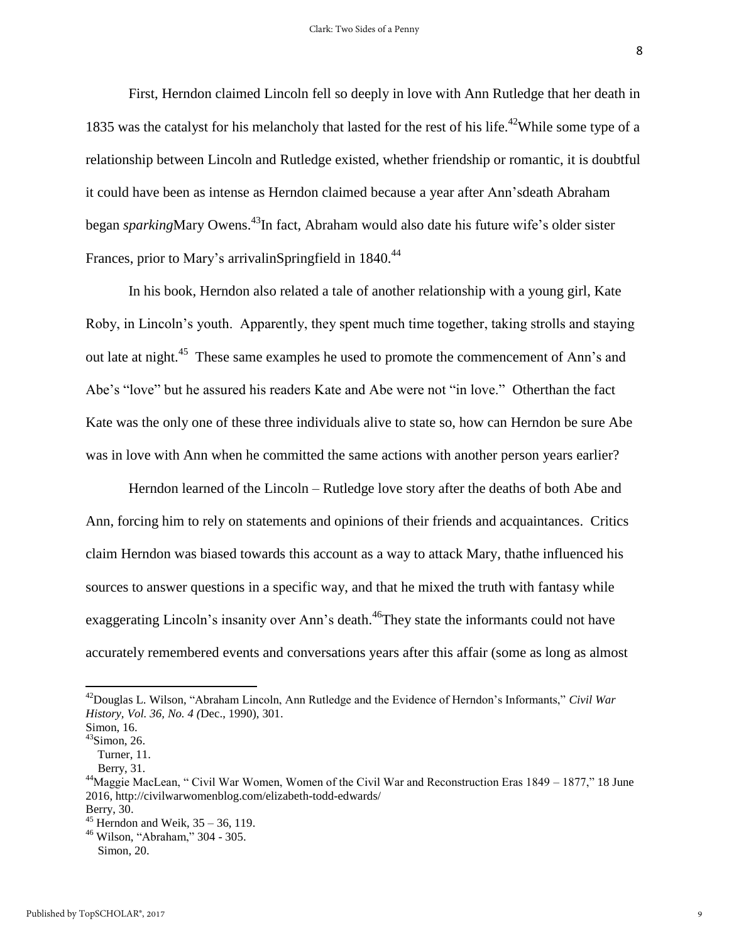First, Herndon claimed Lincoln fell so deeply in love with Ann Rutledge that her death in 1835 was the catalyst for his melancholy that lasted for the rest of his life.<sup>42</sup>While some type of a relationship between Lincoln and Rutledge existed, whether friendship or romantic, it is doubtful it could have been as intense as Herndon claimed because a year after Ann'sdeath Abraham began *sparking*Mary Owens.<sup>43</sup>In fact, Abraham would also date his future wife's older sister Frances, prior to Mary's arrivalinSpringfield in 1840.<sup>44</sup>

In his book, Herndon also related a tale of another relationship with a young girl, Kate Roby, in Lincoln's youth. Apparently, they spent much time together, taking strolls and staying out late at night.<sup>45</sup> These same examples he used to promote the commencement of Ann's and Abe's "love" but he assured his readers Kate and Abe were not "in love." Otherthan the fact Kate was the only one of these three individuals alive to state so, how can Herndon be sure Abe was in love with Ann when he committed the same actions with another person years earlier?

Herndon learned of the Lincoln – Rutledge love story after the deaths of both Abe and Ann, forcing him to rely on statements and opinions of their friends and acquaintances. Critics claim Herndon was biased towards this account as a way to attack Mary, thathe influenced his sources to answer questions in a specific way, and that he mixed the truth with fantasy while exaggerating Lincoln's insanity over Ann's death.<sup>46</sup>They state the informants could not have accurately remembered events and conversations years after this affair (some as long as almost

<sup>42</sup>Douglas L. Wilson, "Abraham Lincoln, Ann Rutledge and the Evidence of Herndon's Informants," *Civil War History, Vol. 36, No. 4 (*Dec., 1990), 301.

Simon, 16.

 $43$ Simon, 26. Turner, 11.

Berry, 31.

<sup>&</sup>lt;sup>44</sup>Maggie MacLean, " Civil War Women, Women of the Civil War and Reconstruction Eras 1849 – 1877," 18 June 2016,<http://civilwarwomenblog.com/elizabeth-todd-edwards/> Berry, 30.

 $45$  Herndon and Weik,  $35 - 36$ , 119.

<sup>46</sup> Wilson, "Abraham," 304 - 305. Simon, 20.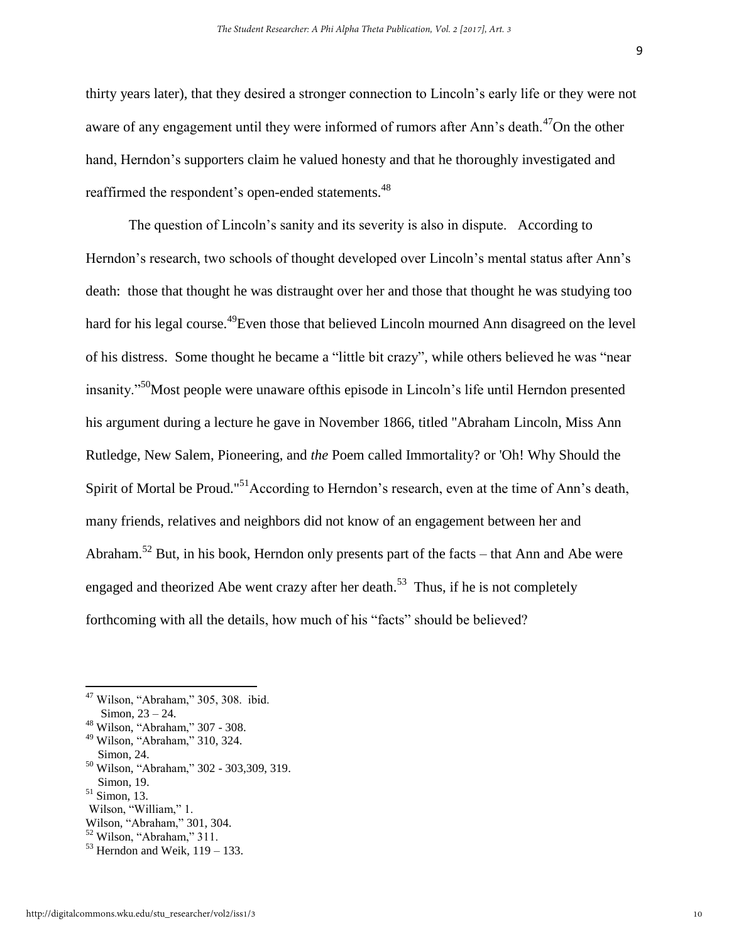thirty years later), that they desired a stronger connection to Lincoln's early life or they were not aware of any engagement until they were informed of rumors after Ann's death.<sup>47</sup>On the other hand, Herndon's supporters claim he valued honesty and that he thoroughly investigated and reaffirmed the respondent's open-ended statements.<sup>48</sup>

The question of Lincoln's sanity and its severity is also in dispute. According to Herndon's research, two schools of thought developed over Lincoln's mental status after Ann's death: those that thought he was distraught over her and those that thought he was studying too hard for his legal course.<sup>49</sup>Even those that believed Lincoln mourned Ann disagreed on the level of his distress. Some thought he became a "little bit crazy", while others believed he was "near insanity."<sup>50</sup>Most people were unaware ofthis episode in Lincoln's life until Herndon presented his argument during a lecture he gave in November 1866, titled "Abraham Lincoln, Miss Ann Rutledge, New Salem, Pioneering, and *the* Poem called Immortality? or 'Oh! Why Should the Spirit of Mortal be Proud."<sup>51</sup>According to Herndon's research, even at the time of Ann's death, many friends, relatives and neighbors did not know of an engagement between her and Abraham.<sup>52</sup> But, in his book, Herndon only presents part of the facts – that Ann and Abe were engaged and theorized Abe went crazy after her death.<sup>53</sup> Thus, if he is not completely forthcoming with all the details, how much of his "facts" should be believed?

 $\overline{a}$ 

- <sup>50</sup> Wilson, "Abraham," 302 303,309, 319.
- Simon, 19.

Wilson, "William," 1.

<sup>52</sup> Wilson, "Abraham," 311.

<sup>47</sup> Wilson, "Abraham," 305, 308. ibid.

Simon, 23 – 24.

<sup>48</sup> Wilson, "Abraham," 307 - 308. <sup>49</sup> Wilson, "Abraham," 310, 324.

Simon, 24.

<sup>51</sup> Simon, 13.

Wilson, "Abraham," 301, 304.

 $53$  Herndon and Weik,  $119 - 133$ .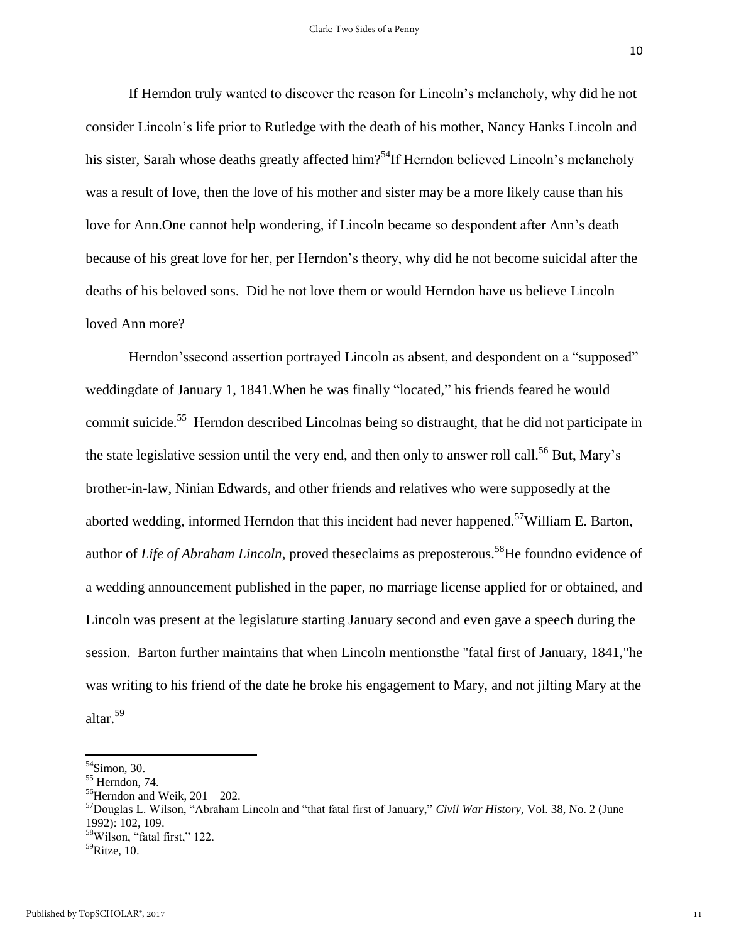10

If Herndon truly wanted to discover the reason for Lincoln's melancholy, why did he not consider Lincoln's life prior to Rutledge with the death of his mother, Nancy Hanks Lincoln and his sister, Sarah whose deaths greatly affected him?<sup>54</sup>If Herndon believed Lincoln's melancholy was a result of love, then the love of his mother and sister may be a more likely cause than his love for Ann.One cannot help wondering, if Lincoln became so despondent after Ann's death because of his great love for her, per Herndon's theory, why did he not become suicidal after the deaths of his beloved sons. Did he not love them or would Herndon have us believe Lincoln loved Ann more?

Herndon'ssecond assertion portrayed Lincoln as absent, and despondent on a "supposed" weddingdate of January 1, 1841.When he was finally "located," his friends feared he would commit suicide.<sup>55</sup> Herndon described Lincolnas being so distraught, that he did not participate in the state legislative session until the very end, and then only to answer roll call.<sup>56</sup> But, Mary's brother-in-law, Ninian Edwards, and other friends and relatives who were supposedly at the aborted wedding, informed Herndon that this incident had never happened.<sup>57</sup>William E. Barton, author of *Life of Abraham Lincoln*, proved theseclaims as preposterous.<sup>58</sup>He foundno evidence of a wedding announcement published in the paper, no marriage license applied for or obtained, and Lincoln was present at the legislature starting January second and even gave a speech during the session. Barton further maintains that when Lincoln mentionsthe "fatal first of January, 1841,"he was writing to his friend of the date he broke his engagement to Mary, and not jilting Mary at the altar.<sup>59</sup>

 $54$ Simon, 30.

<sup>55</sup> Herndon, 74.

 $56$ Herndon and Weik, 201 – 202.

<sup>57</sup>Douglas L. Wilson, "Abraham Lincoln and "that fatal first of January," *Civil War History,* Vol. 38, No. 2 (June 1992): 102, 109.

<sup>58</sup>Wilson, "fatal first," 122.

 $^{59}$ Ritze, 10.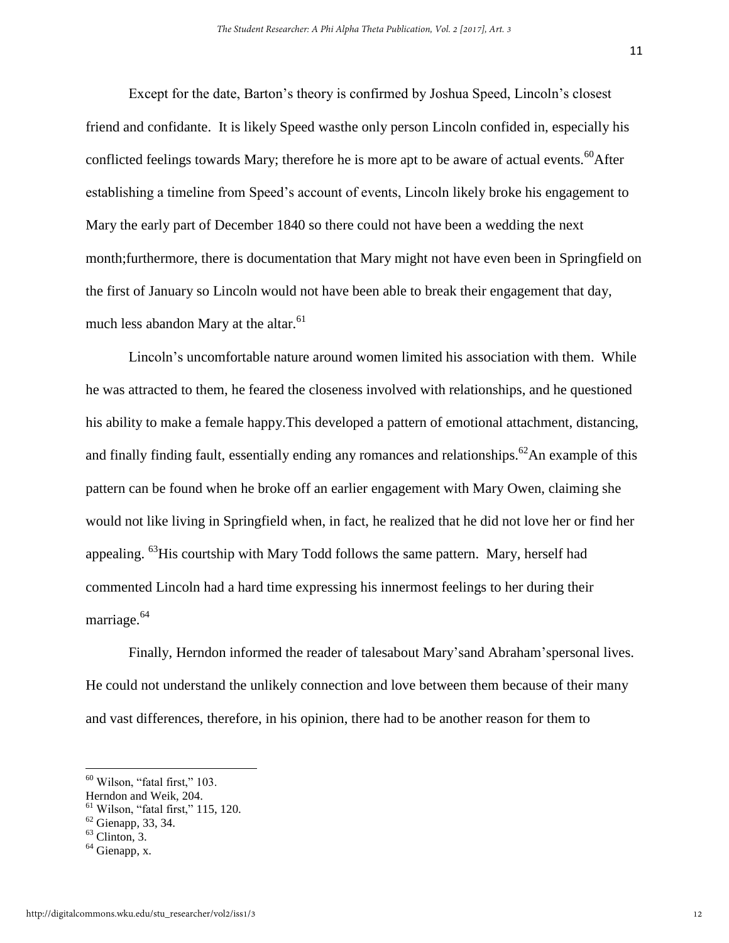Except for the date, Barton's theory is confirmed by Joshua Speed, Lincoln's closest friend and confidante. It is likely Speed wasthe only person Lincoln confided in, especially his conflicted feelings towards Mary; therefore he is more apt to be aware of actual events.<sup>60</sup>After establishing a timeline from Speed's account of events, Lincoln likely broke his engagement to Mary the early part of December 1840 so there could not have been a wedding the next month;furthermore, there is documentation that Mary might not have even been in Springfield on the first of January so Lincoln would not have been able to break their engagement that day, much less abandon Mary at the altar. $61$ 

Lincoln's uncomfortable nature around women limited his association with them. While he was attracted to them, he feared the closeness involved with relationships, and he questioned his ability to make a female happy.This developed a pattern of emotional attachment, distancing, and finally finding fault, essentially ending any romances and relationships.<sup>62</sup>An example of this pattern can be found when he broke off an earlier engagement with Mary Owen, claiming she would not like living in Springfield when, in fact, he realized that he did not love her or find her appealing. <sup>63</sup>His courtship with Mary Todd follows the same pattern. Mary, herself had commented Lincoln had a hard time expressing his innermost feelings to her during their marriage.<sup>64</sup>

Finally, Herndon informed the reader of talesabout Mary'sand Abraham'spersonal lives. He could not understand the unlikely connection and love between them because of their many and vast differences, therefore, in his opinion, there had to be another reason for them to

l

 $60$  Wilson, "fatal first," 103.

Herndon and Weik, 204.

 $61$  Wilson, "fatal first," 115, 120.

<sup>62</sup> Gienapp, 33, 34.

 $63$  Clinton, 3.

<sup>&</sup>lt;sup>64</sup> Gienapp, x.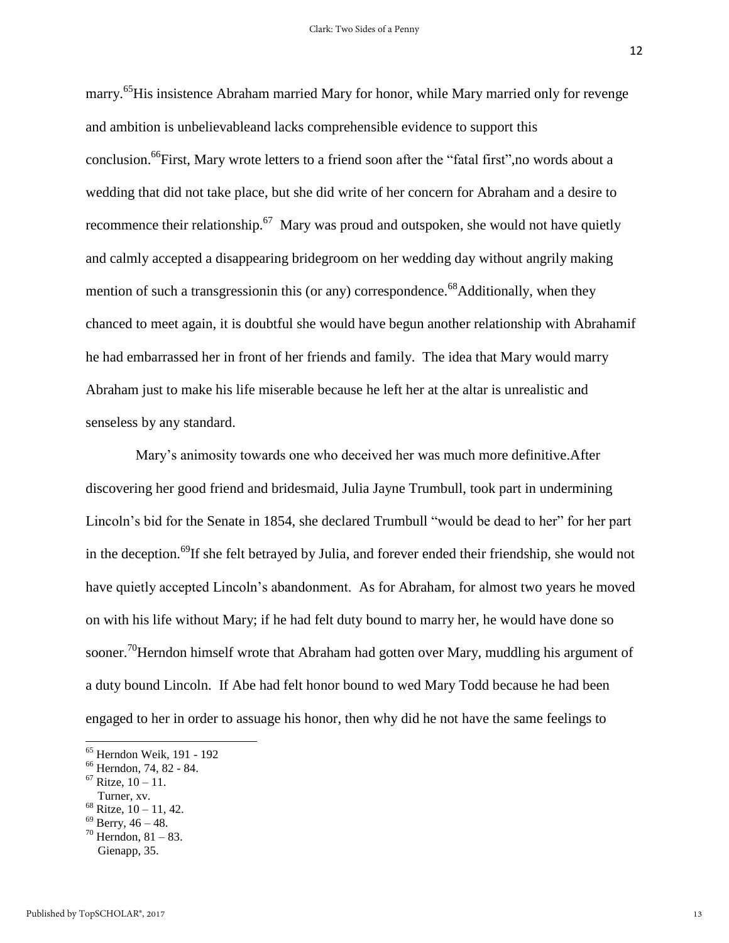marry.<sup>65</sup>His insistence Abraham married Mary for honor, while Mary married only for revenge and ambition is unbelievableand lacks comprehensible evidence to support this conclusion.<sup>66</sup>First, Mary wrote letters to a friend soon after the "fatal first",no words about a wedding that did not take place, but she did write of her concern for Abraham and a desire to recommence their relationship.<sup>67</sup> Mary was proud and outspoken, she would not have quietly and calmly accepted a disappearing bridegroom on her wedding day without angrily making mention of such a transgression in this (or any) correspondence.<sup>68</sup>Additionally, when they chanced to meet again, it is doubtful she would have begun another relationship with Abrahamif he had embarrassed her in front of her friends and family. The idea that Mary would marry Abraham just to make his life miserable because he left her at the altar is unrealistic and senseless by any standard.

 Mary's animosity towards one who deceived her was much more definitive.After discovering her good friend and bridesmaid, Julia Jayne Trumbull, took part in undermining Lincoln's bid for the Senate in 1854, she declared Trumbull "would be dead to her" for her part in the deception.<sup>69</sup>If she felt betrayed by Julia, and forever ended their friendship, she would not have quietly accepted Lincoln's abandonment. As for Abraham, for almost two years he moved on with his life without Mary; if he had felt duty bound to marry her, he would have done so sooner.<sup>70</sup>Herndon himself wrote that Abraham had gotten over Mary, muddling his argument of a duty bound Lincoln. If Abe had felt honor bound to wed Mary Todd because he had been engaged to her in order to assuage his honor, then why did he not have the same feelings to

- $69$  Berry,  $46 48$ .  $70$  Herndon, 81 – 83.
- Gienapp, 35.

<sup>65</sup> Herndon Weik, 191 - 192

<sup>66</sup> Herndon*,* 74, 82 - 84.

 $67$  Ritze,  $10 - 11$ .

Turner, xv.

 $68$  Ritze,  $10 - 11$ , 42.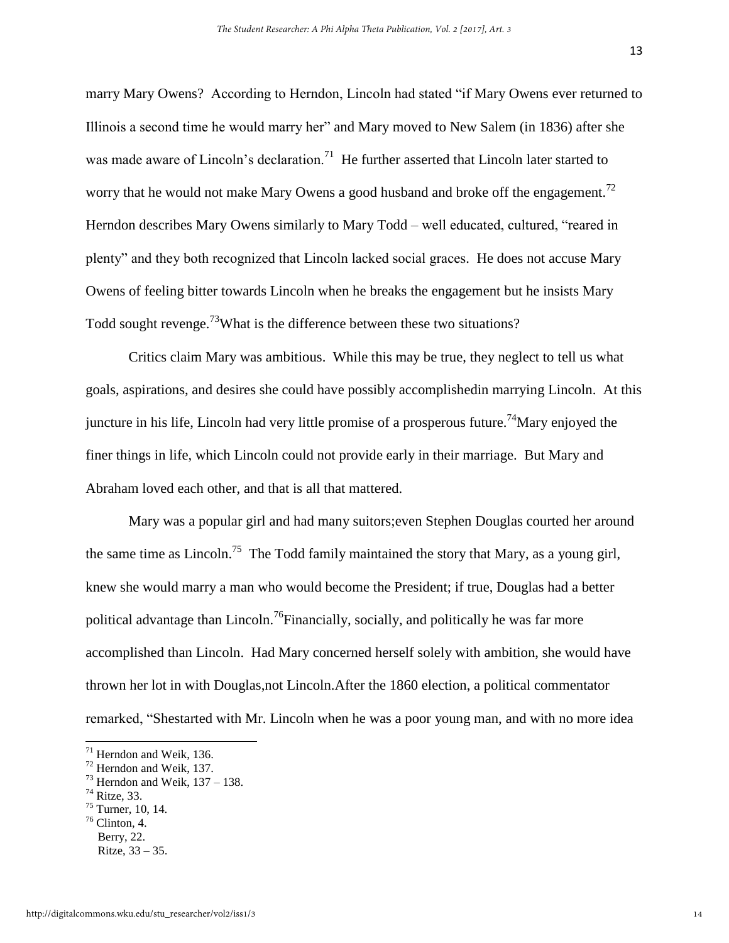13

marry Mary Owens? According to Herndon, Lincoln had stated "if Mary Owens ever returned to Illinois a second time he would marry her" and Mary moved to New Salem (in 1836) after she was made aware of Lincoln's declaration.<sup>71</sup> He further asserted that Lincoln later started to worry that he would not make Mary Owens a good husband and broke off the engagement.<sup>72</sup> Herndon describes Mary Owens similarly to Mary Todd – well educated, cultured, "reared in plenty" and they both recognized that Lincoln lacked social graces. He does not accuse Mary Owens of feeling bitter towards Lincoln when he breaks the engagement but he insists Mary Todd sought revenge.<sup>73</sup>What is the difference between these two situations?

Critics claim Mary was ambitious. While this may be true, they neglect to tell us what goals, aspirations, and desires she could have possibly accomplishedin marrying Lincoln. At this juncture in his life, Lincoln had very little promise of a prosperous future.<sup>74</sup>Mary enjoyed the finer things in life, which Lincoln could not provide early in their marriage. But Mary and Abraham loved each other, and that is all that mattered.

Mary was a popular girl and had many suitors;even Stephen Douglas courted her around the same time as Lincoln.<sup>75</sup> The Todd family maintained the story that Mary, as a young girl, knew she would marry a man who would become the President; if true, Douglas had a better political advantage than Lincoln.<sup>76</sup>Financially, socially, and politically he was far more accomplished than Lincoln. Had Mary concerned herself solely with ambition, she would have thrown her lot in with Douglas,not Lincoln.After the 1860 election, a political commentator remarked, "Shestarted with Mr. Lincoln when he was a poor young man, and with no more idea

 $\overline{a}$ 

 $76$  Clinton, 4.

 $71$  Herndon and Weik, 136.

<sup>72</sup> Herndon and Weik, 137.

 $73$  Herndon and Weik,  $137 - 138$ .

<sup>74</sup> Ritze, 33.

 $75$  Turner, 10, 14.

Berry, 22. Ritze, 33 – 35.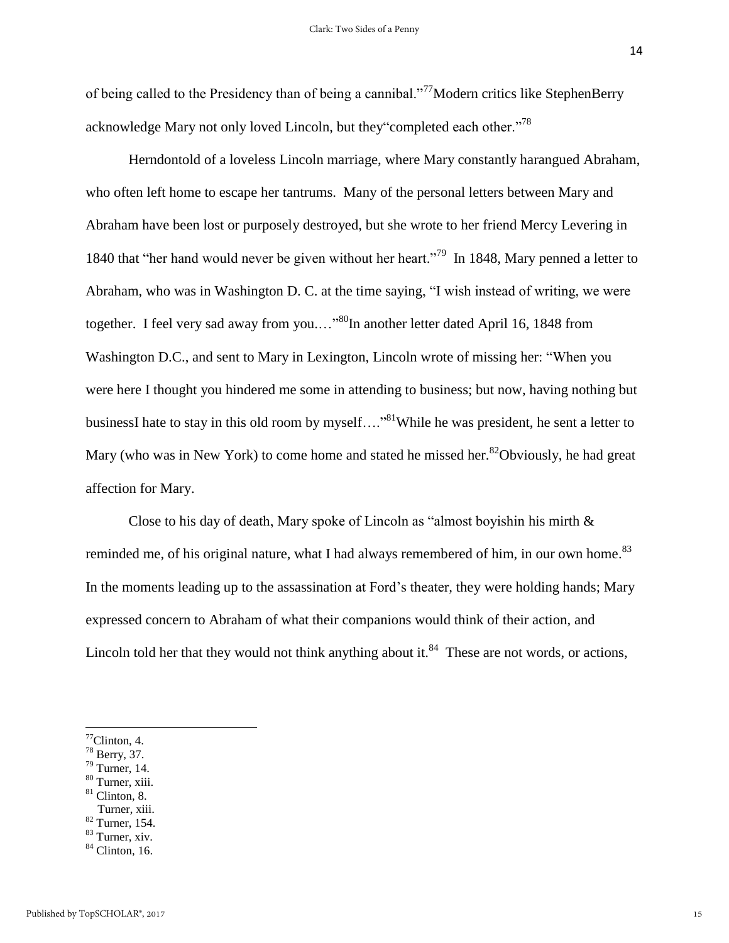of being called to the Presidency than of being a cannibal."<sup>77</sup>Modern critics like StephenBerry acknowledge Mary not only loved Lincoln, but they "completed each other."<sup>78</sup>

Herndontold of a loveless Lincoln marriage, where Mary constantly harangued Abraham, who often left home to escape her tantrums. Many of the personal letters between Mary and Abraham have been lost or purposely destroyed, but she wrote to her friend Mercy Levering in 1840 that "her hand would never be given without her heart."<sup>79</sup> In 1848, Mary penned a letter to Abraham, who was in Washington D. C. at the time saying, "I wish instead of writing, we were together. I feel very sad away from you...."<sup>80</sup>In another letter dated April 16, 1848 from Washington D.C., and sent to Mary in Lexington, Lincoln wrote of missing her: "When you were here I thought you hindered me some in attending to business; but now, having nothing but businessI hate to stay in this old room by myself...."<sup>81</sup>While he was president, he sent a letter to Mary (who was in New York) to come home and stated he missed her.<sup>82</sup>Obviously, he had great affection for Mary.

Close to his day of death, Mary spoke of Lincoln as "almost boyishin his mirth  $\&$ reminded me, of his original nature, what I had always remembered of him, in our own home.<sup>83</sup> In the moments leading up to the assassination at Ford's theater*,* they were holding hands; Mary expressed concern to Abraham of what their companions would think of their action, and Lincoln told her that they would not think anything about it. $84$  These are not words, or actions,

 $\overline{\phantom{a}}$ 

<sup>80</sup> Turner, xiii.

<sup>82</sup> Turner, 154.

 $\mathrm{77}$ Clinton, 4.

<sup>78</sup> Berry, 37.

 $79$  Turner, 14.

 $81$  Clinton, 8.

Turner, xiii.

 $83$  Turner, xiv.

 $84$  Clinton, 16.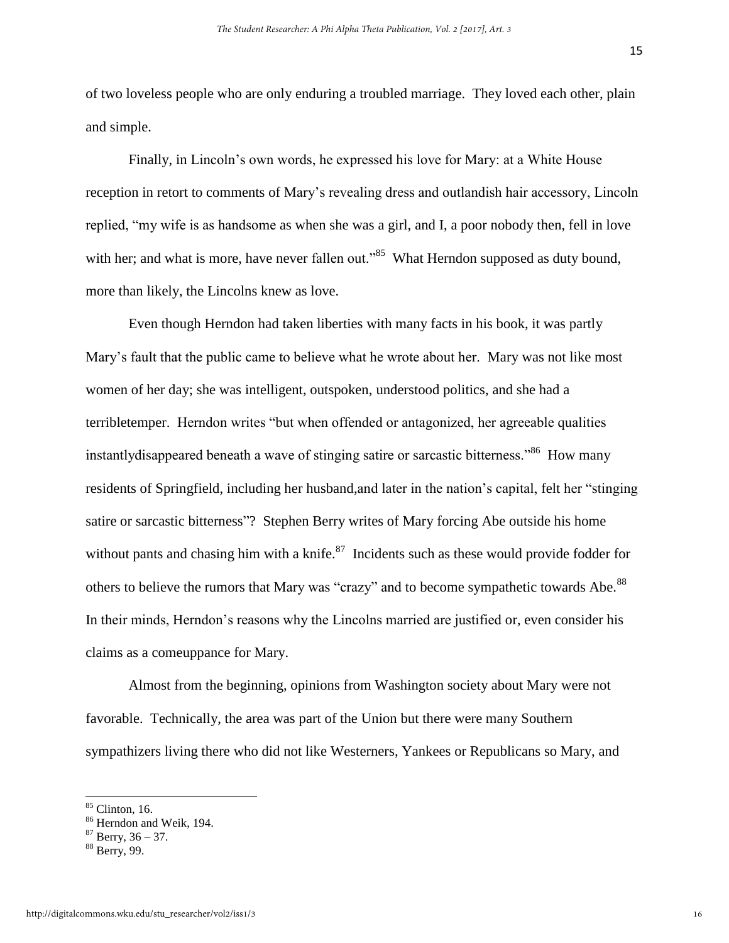of two loveless people who are only enduring a troubled marriage. They loved each other, plain and simple.

Finally, in Lincoln's own words, he expressed his love for Mary: at a White House reception in retort to comments of Mary's revealing dress and outlandish hair accessory, Lincoln replied, "my wife is as handsome as when she was a girl, and I, a poor nobody then, fell in love with her; and what is more, have never fallen out."<sup>85</sup> What Herndon supposed as duty bound, more than likely, the Lincolns knew as love.

Even though Herndon had taken liberties with many facts in his book, it was partly Mary's fault that the public came to believe what he wrote about her. Mary was not like most women of her day; she was intelligent, outspoken, understood politics, and she had a terribletemper. Herndon writes "but when offended or antagonized, her agreeable qualities instantly disappeared beneath a wave of stinging satire or sarcastic bitterness."<sup>86</sup> How many residents of Springfield, including her husband,and later in the nation's capital, felt her "stinging satire or sarcastic bitterness"? Stephen Berry writes of Mary forcing Abe outside his home without pants and chasing him with a knife. $87$  Incidents such as these would provide fodder for others to believe the rumors that Mary was "crazy" and to become sympathetic towards Abe.<sup>88</sup> In their minds, Herndon's reasons why the Lincolns married are justified or, even consider his claims as a comeuppance for Mary.

Almost from the beginning, opinions from Washington society about Mary were not favorable. Technically, the area was part of the Union but there were many Southern sympathizers living there who did not like Westerners, Yankees or Republicans so Mary, and

 $85$  Clinton, 16.

<sup>&</sup>lt;sup>86</sup> Herndon and Weik, 194.

 $87$  Berry, 36 – 37.

<sup>88</sup> Berry, 99.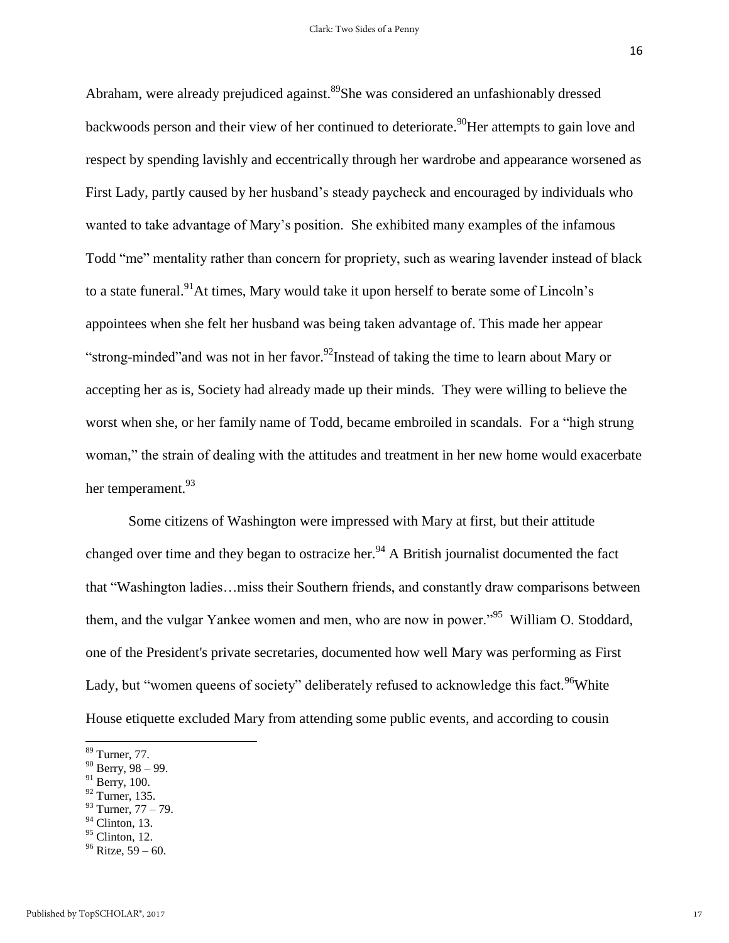Abraham, were already prejudiced against.<sup>89</sup>She was considered an unfashionably dressed backwoods person and their view of her continued to deteriorate.<sup>90</sup>Her attempts to gain love and respect by spending lavishly and eccentrically through her wardrobe and appearance worsened as First Lady, partly caused by her husband's steady paycheck and encouraged by individuals who wanted to take advantage of Mary's position. She exhibited many examples of the infamous Todd "me" mentality rather than concern for propriety, such as wearing lavender instead of black to a state funeral.<sup>91</sup>At times, Mary would take it upon herself to berate some of Lincoln's appointees when she felt her husband was being taken advantage of. This made her appear "strong-minded" and was not in her favor.<sup>92</sup>Instead of taking the time to learn about Mary or accepting her as is, Society had already made up their minds. They were willing to believe the worst when she, or her family name of Todd, became embroiled in scandals. For a "high strung woman," the strain of dealing with the attitudes and treatment in her new home would exacerbate her temperament.<sup>93</sup>

Some citizens of Washington were impressed with Mary at first, but their attitude changed over time and they began to ostracize her.<sup>94</sup> A British journalist documented the fact that "Washington ladies…miss their Southern friends, and constantly draw comparisons between them, and the vulgar Yankee women and men, who are now in power."<sup>95</sup> William O. Stoddard, one of the President's private secretaries, documented how well Mary was performing as First Lady, but "women queens of society" deliberately refused to acknowledge this fact.<sup>96</sup>White House etiquette excluded Mary from attending some public events, and according to cousin

- $91$  Berry, 100.
- $92$  Turner, 135.
- $93$  Turner,  $77 79$ .
- $94$  Clinton, 13.
- $95$  Clinton, 12.

<sup>89</sup> Turner, 77.

 $90$  Berry, 98 – 99.

 $96$  Ritze, 59 – 60.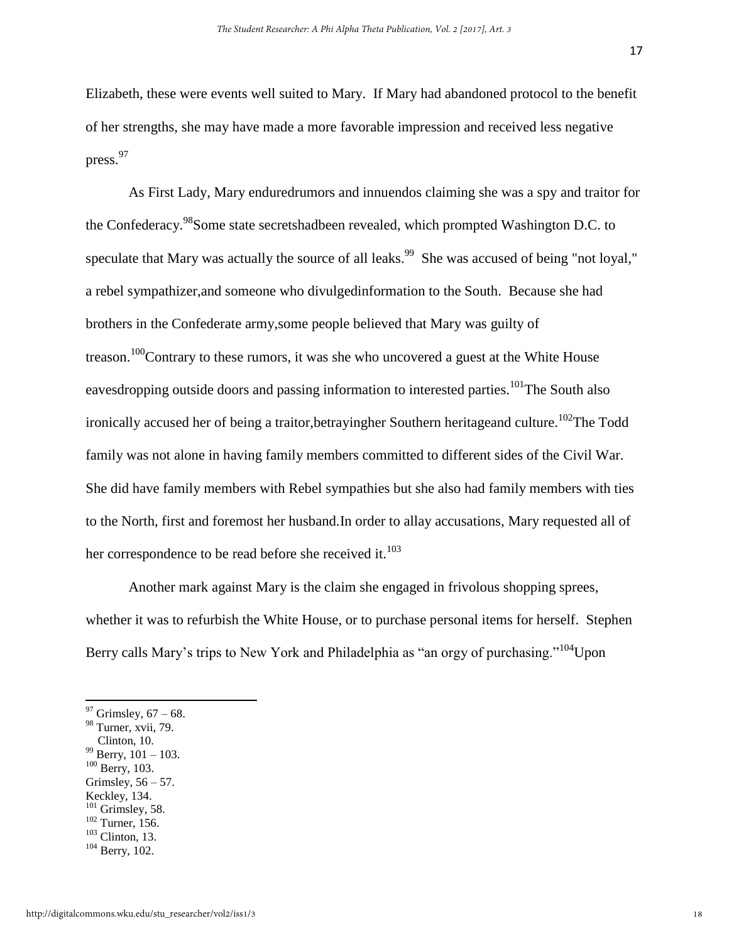Elizabeth, these were events well suited to Mary. If Mary had abandoned protocol to the benefit of her strengths, she may have made a more favorable impression and received less negative press.<sup>97</sup>

As First Lady, Mary enduredrumors and innuendos claiming she was a spy and traitor for the Confederacy.<sup>98</sup>Some state secretshadbeen revealed, which prompted Washington D.C. to speculate that Mary was actually the source of all leaks.<sup>99</sup> She was accused of being "not loyal," a rebel sympathizer,and someone who divulgedinformation to the South. Because she had brothers in the Confederate army,some people believed that Mary was guilty of treason.<sup>100</sup>Contrary to these rumors, it was she who uncovered a guest at the White House eavesdropping outside doors and passing information to interested parties.<sup>101</sup>The South also ironically accused her of being a traitor, betrayingher Southern heritageand culture.<sup>102</sup>The Todd family was not alone in having family members committed to different sides of the Civil War. She did have family members with Rebel sympathies but she also had family members with ties to the North, first and foremost her husband.In order to allay accusations, Mary requested all of her correspondence to be read before she received it.<sup>103</sup>

Another mark against Mary is the claim she engaged in frivolous shopping sprees, whether it was to refurbish the White House, or to purchase personal items for herself. Stephen Berry calls Mary's trips to New York and Philadelphia as "an orgy of purchasing."<sup>104</sup>Upon

- $100$  Berry, 103.
- Grimsley,  $56 57$ .
- Keckley, 134.
- $101$  Grimsley, 58.
- $102$  Turner, 156.
- $103$  Clinton, 13.

 $97$  Grimsley,  $67 - 68$ .

<sup>&</sup>lt;sup>98</sup> Turner, xvii, 79.

Clinton, 10. <sup>99</sup> Berry, 101 – 103.

<sup>104</sup> Berry, 102.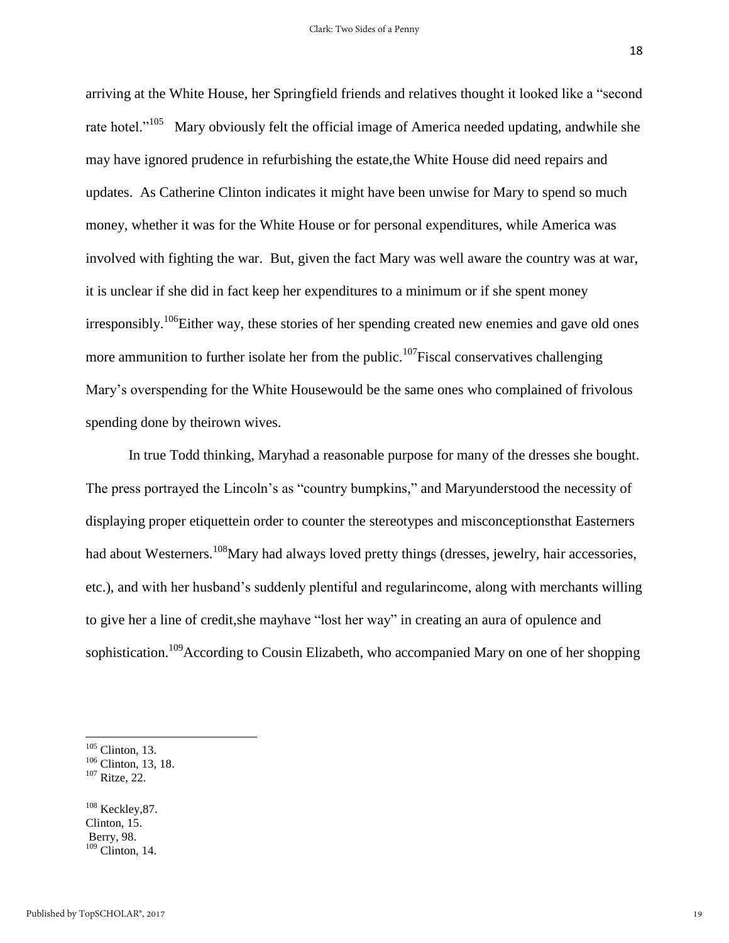arriving at the White House, her Springfield friends and relatives thought it looked like a "second rate hotel."<sup>105</sup> Mary obviously felt the official image of America needed updating, andwhile she may have ignored prudence in refurbishing the estate,the White House did need repairs and updates. As Catherine Clinton indicates it might have been unwise for Mary to spend so much money, whether it was for the White House or for personal expenditures, while America was involved with fighting the war. But, given the fact Mary was well aware the country was at war, it is unclear if she did in fact keep her expenditures to a minimum or if she spent money irresponsibly.<sup>106</sup>Either way, these stories of her spending created new enemies and gave old ones more ammunition to further isolate her from the public.<sup>107</sup>Fiscal conservatives challenging Mary's overspending for the White Housewould be the same ones who complained of frivolous spending done by theirown wives.

In true Todd thinking, Maryhad a reasonable purpose for many of the dresses she bought. The press portrayed the Lincoln's as "country bumpkins," and Maryunderstood the necessity of displaying proper etiquettein order to counter the stereotypes and misconceptionsthat Easterners had about Westerners.<sup>108</sup>Mary had always loved pretty things (dresses, jewelry, hair accessories, etc.), and with her husband's suddenly plentiful and regularincome, along with merchants willing to give her a line of credit,she mayhave "lost her way" in creating an aura of opulence and sophistication.<sup>109</sup>According to Cousin Elizabeth, who accompanied Mary on one of her shopping

 $\overline{\phantom{a}}$ 

 $108$  Keckley, 87. Clinton, 15. Berry, 98.  $109$  Clinton, 14.

 $105$  Clinton, 13.

<sup>&</sup>lt;sup>106</sup> Clinton, 13, 18.

<sup>107</sup> Ritze, 22.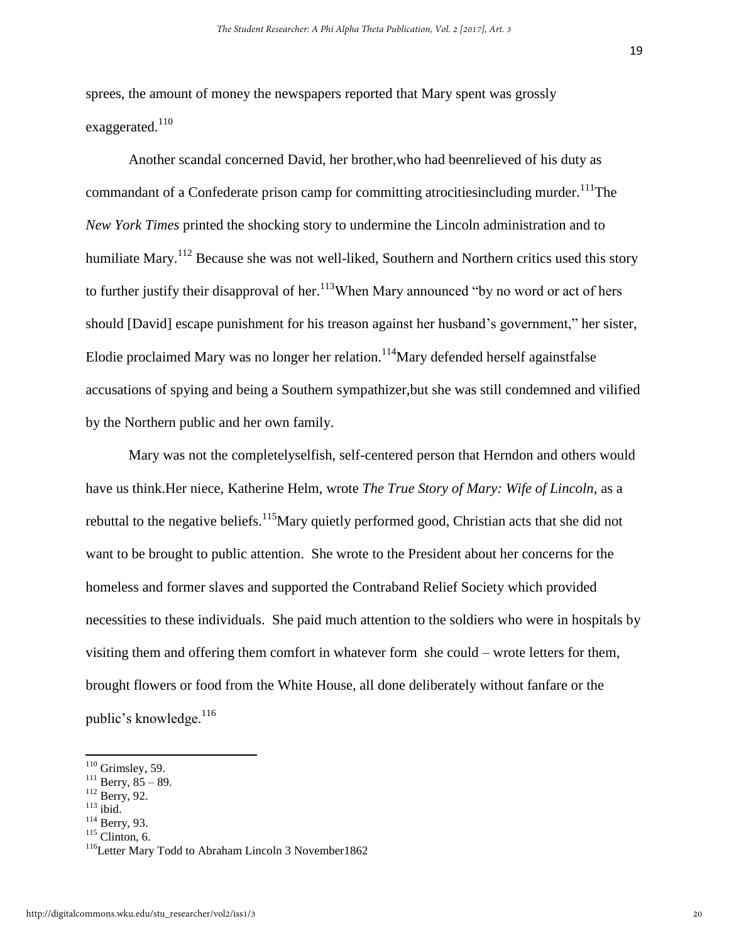sprees, the amount of money the newspapers reported that Mary spent was grossly exaggerated.<sup>110</sup>

Another scandal concerned David, her brother,who had beenrelieved of his duty as commandant of a Confederate prison camp for committing atrocities including murder.<sup>111</sup>The *New York Times* printed the shocking story to undermine the Lincoln administration and to humiliate Mary.<sup>112</sup> Because she was not well-liked, Southern and Northern critics used this story to further justify their disapproval of her.<sup>113</sup>When Mary announced "by no word or act of hers should [David] escape punishment for his treason against her husband's government," her sister, Elodie proclaimed Mary was no longer her relation.<sup>114</sup>Mary defended herself against false accusations of spying and being a Southern sympathizer,but she was still condemned and vilified by the Northern public and her own family.

Mary was not the completelyselfish, self-centered person that Herndon and others would have us think.Her niece, Katherine Helm, wrote *The True Story of Mary: Wife of Lincoln*, as a rebuttal to the negative beliefs.<sup>115</sup>Mary quietly performed good, Christian acts that she did not want to be brought to public attention. She wrote to the President about her concerns for the homeless and former slaves and supported the Contraband Relief Society which provided necessities to these individuals. She paid much attention to the soldiers who were in hospitals by visiting them and offering them comfort in whatever form she could – wrote letters for them, brought flowers or food from the White House, all done deliberately without fanfare or the public's knowledge.<sup>116</sup>

 $110$  Grimsley, 59.

 $111$  Berry,  $85 - 89$ .

<sup>&</sup>lt;sup>112</sup> Berry, 92.

 $113$  ibid.

<sup>114</sup> Berry, 93.

 $115$  Clinton, 6.

<sup>&</sup>lt;sup>116</sup>Letter Mary Todd to Abraham Lincoln 3 November 1862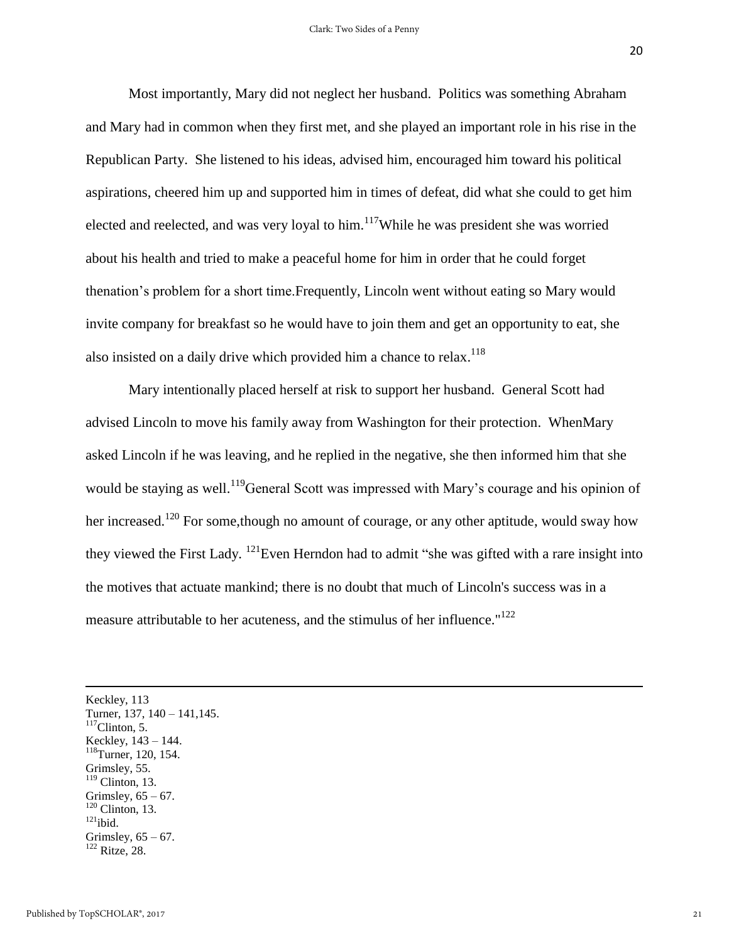Most importantly, Mary did not neglect her husband. Politics was something Abraham and Mary had in common when they first met, and she played an important role in his rise in the Republican Party. She listened to his ideas, advised him, encouraged him toward his political aspirations, cheered him up and supported him in times of defeat, did what she could to get him elected and reelected, and was very loyal to him.<sup>117</sup>While he was president she was worried about his health and tried to make a peaceful home for him in order that he could forget thenation's problem for a short time.Frequently, Lincoln went without eating so Mary would invite company for breakfast so he would have to join them and get an opportunity to eat, she also insisted on a daily drive which provided him a chance to relax.<sup>118</sup>

Mary intentionally placed herself at risk to support her husband. General Scott had advised Lincoln to move his family away from Washington for their protection. WhenMary asked Lincoln if he was leaving, and he replied in the negative, she then informed him that she would be staying as well.<sup>119</sup>General Scott was impressed with Mary's courage and his opinion of her increased.<sup>120</sup> For some, though no amount of courage, or any other aptitude, would sway how they viewed the First Lady. <sup>121</sup>Even Herndon had to admit "she was gifted with a rare insight into the motives that actuate mankind; there is no doubt that much of Lincoln's success was in a measure attributable to her acuteness, and the stimulus of her influence."<sup>122</sup>

 $\overline{a}$ Keckley, 113 Turner, 137, 140 – 141,145.  $117$ Clinton, 5. Keckley, 143 – 144. <sup>118</sup>Turner, 120, 154. Grimsley, 55.  $119$  Clinton, 13. Grimsley,  $65 - 67$ .  $120$  Clinton, 13.  $121$ ibid. Grimsley,  $65 - 67$ . <sup>122</sup> Ritze, 28.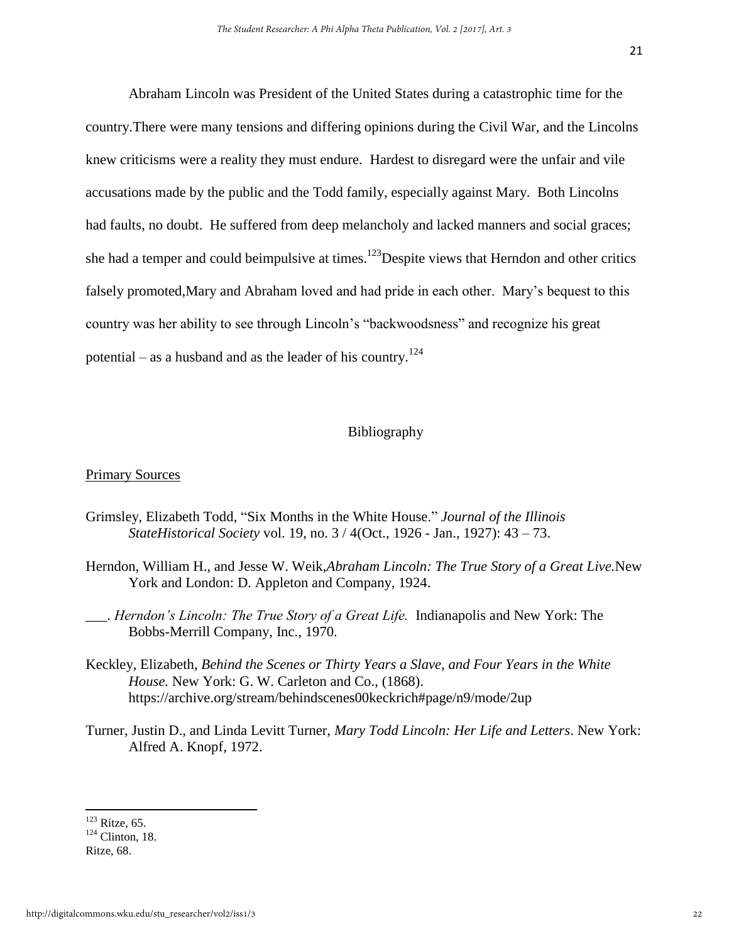Abraham Lincoln was President of the United States during a catastrophic time for the country.There were many tensions and differing opinions during the Civil War, and the Lincolns knew criticisms were a reality they must endure. Hardest to disregard were the unfair and vile accusations made by the public and the Todd family, especially against Mary. Both Lincolns had faults, no doubt. He suffered from deep melancholy and lacked manners and social graces; she had a temper and could beimpulsive at times.<sup>123</sup>Despite views that Herndon and other critics falsely promoted,Mary and Abraham loved and had pride in each other. Mary's bequest to this country was her ability to see through Lincoln's "backwoodsness" and recognize his great potential – as a husband and as the leader of his country.<sup>124</sup>

### Bibliography

### Primary Sources

- Grimsley, Elizabeth Todd, "Six Months in the White House." *Journal of the Illinois StateHistorical Society* vol. 19, no. 3 / 4(Oct., 1926 - Jan., 1927): 43 – 73.
- Herndon, William H., and Jesse W. Weik,*Abraham Lincoln: The True Story of a Great Live.*New York and London: D. Appleton and Company, 1924.
- \_\_\_. *Herndon's Lincoln: The True Story of a Great Life.* Indianapolis and New York: The Bobbs-Merrill Company, Inc., 1970.
- Keckley, Elizabeth, *Behind the Scenes or Thirty Years a Slave, and Four Years in the White House.* New York: G. W. Carleton and Co., (1868). <https://archive.org/stream/behindscenes00keckrich#page/n9/mode/2up>
- Turner, Justin D., and Linda Levitt Turner, *Mary Todd Lincoln: Her Life and Letters*. New York: Alfred A. Knopf, 1972.

 $123$  Ritze, 65.

 $124$  Clinton, 18.

Ritze, 68.